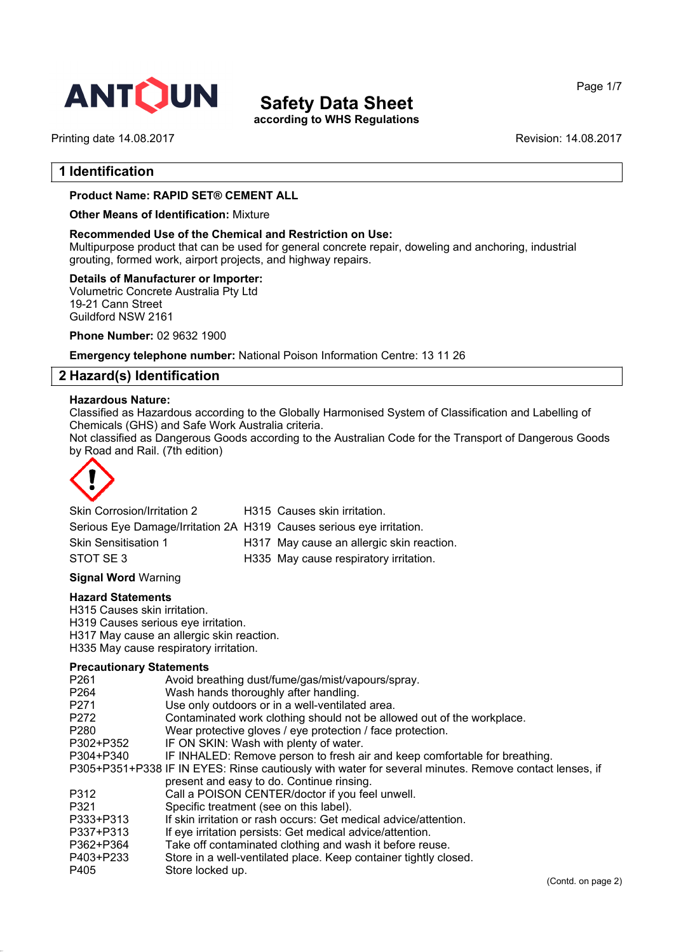

**according to WHS Regulations**

Printing date 14.08.2017 **Revision: 14.08.2017** Revision: 14.08.2017

Page 1/7

#### **1 Identification**

#### **Product Name: RAPID SET® CEMENT ALL**

**Other Means of Identification:** Mixture

#### **Recommended Use of the Chemical and Restriction on Use:**

Multipurpose product that can be used for general concrete repair, doweling and anchoring, industrial grouting, formed work, airport projects, and highway repairs.

#### **Details of Manufacturer or Importer:**

Volumetric Concrete Australia Pty Ltd 19-21 Cann Street Guildford NSW 2161

**Phone Number:** 02 9632 1900

**Emergency telephone number:** National Poison Information Centre: 13 11 26

#### **2 Hazard(s) Identification**

#### **Hazardous Nature:**

Classified as Hazardous according to the Globally Harmonised System of Classification and Labelling of Chemicals (GHS) and Safe Work Australia criteria.

Not classified as Dangerous Goods according to the Australian Code for the Transport of Dangerous Goods by Road and Rail. (7th edition)



| Skin Corrosion/Irritation 2                                          | H315 Causes skin irritation.              |
|----------------------------------------------------------------------|-------------------------------------------|
| Serious Eye Damage/Irritation 2A H319 Causes serious eye irritation. |                                           |
| <b>Skin Sensitisation 1</b>                                          | H317 May cause an allergic skin reaction. |
| STOT SE 3                                                            | H335 May cause respiratory irritation.    |

#### **Signal Word** Warning

#### **Hazard Statements**

H315 Causes skin irritation.

H319 Causes serious eye irritation.

H317 May cause an allergic skin reaction.

H335 May cause respiratory irritation.

#### **Precautionary Statements**

| P <sub>261</sub> | Avoid breathing dust/fume/gas/mist/vapours/spray.                                                     |
|------------------|-------------------------------------------------------------------------------------------------------|
| P <sub>264</sub> | Wash hands thoroughly after handling.                                                                 |
| P <sub>271</sub> | Use only outdoors or in a well-ventilated area.                                                       |
| P <sub>272</sub> | Contaminated work clothing should not be allowed out of the workplace.                                |
| P <sub>280</sub> | Wear protective gloves / eye protection / face protection.                                            |
| P302+P352        | IF ON SKIN: Wash with plenty of water.                                                                |
| P304+P340        | IF INHALED: Remove person to fresh air and keep comfortable for breathing.                            |
|                  | P305+P351+P338 IF IN EYES: Rinse cautiously with water for several minutes. Remove contact lenses, if |
|                  | present and easy to do. Continue rinsing.                                                             |
| P312             | Call a POISON CENTER/doctor if you feel unwell.                                                       |
| P321             | Specific treatment (see on this label).                                                               |
| P333+P313        | If skin irritation or rash occurs: Get medical advice/attention.                                      |
| P337+P313        | If eye irritation persists: Get medical advice/attention.                                             |
| P362+P364        | Take off contaminated clothing and wash it before reuse.                                              |
| P403+P233        | Store in a well-ventilated place. Keep container tightly closed.                                      |
| P405             | Store locked up.                                                                                      |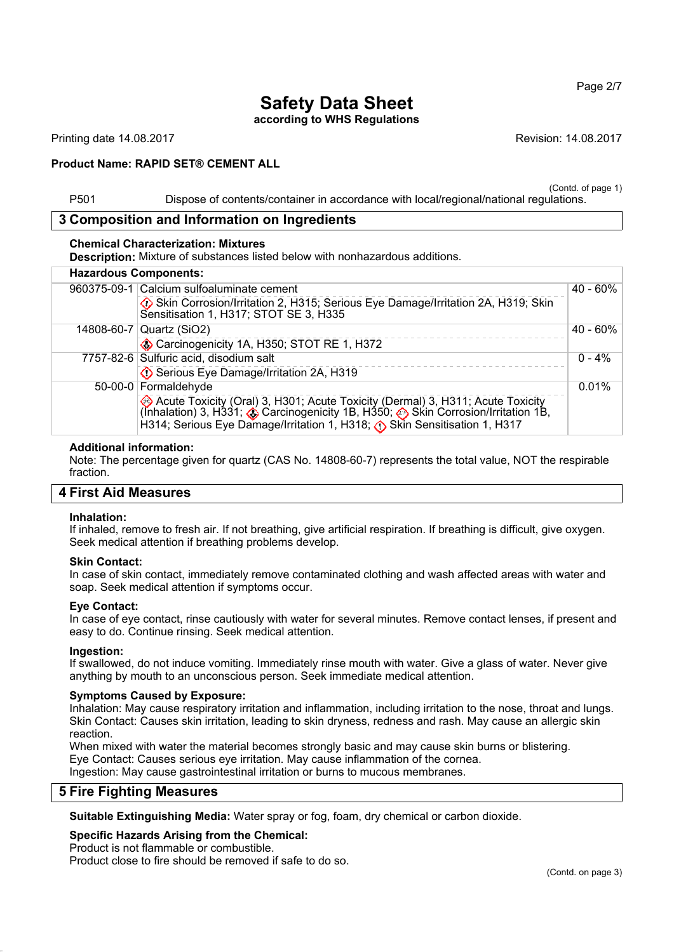**according to WHS Regulations**

Printing date 14.08.2017 **Revision: 14.08.2017** Revision: 14.08.2017

#### **Product Name: RAPID SET® CEMENT ALL**

(Contd. of page 1)

Page 2/7

P501 Dispose of contents/container in accordance with local/regional/national regulations.

#### **3 Composition and Information on Ingredients**

#### **Chemical Characterization: Mixtures**

**Description:** Mixture of substances listed below with nonhazardous additions.

| <b>Hazardous Components:</b>                                                                                                                                                                                                                                              |             |
|---------------------------------------------------------------------------------------------------------------------------------------------------------------------------------------------------------------------------------------------------------------------------|-------------|
| 960375-09-1 Calcium sulfoaluminate cement                                                                                                                                                                                                                                 | $40 - 60\%$ |
| Skin Corrosion/Irritation 2, H315; Serious Eye Damage/Irritation 2A, H319; Skin<br>Sensitisation 1, H317; STOT SE 3, H335                                                                                                                                                 |             |
| 14808-60-7   Quartz (SiO2)                                                                                                                                                                                                                                                | 40 - 60%    |
| Carcinogenicity 1A, H350; STOT RE 1, H372                                                                                                                                                                                                                                 |             |
| 7757-82-6 Sulfuric acid, disodium salt                                                                                                                                                                                                                                    | $0 - 4%$    |
| Serious Eye Damage/Irritation 2A, H319                                                                                                                                                                                                                                    |             |
| 50-00-0 Formaldehyde                                                                                                                                                                                                                                                      | 0.01%       |
| Acute Toxicity (Oral) 3, H301; Acute Toxicity (Dermal) 3, H311; Acute Toxicity (Inhalation) 3, H331; $\diamondsuit$ Carcinogenicity 1B, H350; $\diamondsuit$ Skin Corrosion/Irritation 1B,<br>H314; Serious Eye Damage/Irritation 1, H318; (t) Skin Sensitisation 1, H317 |             |

#### **Additional information:**

Note: The percentage given for quartz (CAS No. 14808-60-7) represents the total value, NOT the respirable fraction.

#### **4 First Aid Measures**

#### **Inhalation:**

If inhaled, remove to fresh air. If not breathing, give artificial respiration. If breathing is difficult, give oxygen. Seek medical attention if breathing problems develop.

#### **Skin Contact:**

In case of skin contact, immediately remove contaminated clothing and wash affected areas with water and soap. Seek medical attention if symptoms occur.

#### **Eye Contact:**

In case of eye contact, rinse cautiously with water for several minutes. Remove contact lenses, if present and easy to do. Continue rinsing. Seek medical attention.

#### **Ingestion:**

If swallowed, do not induce vomiting. Immediately rinse mouth with water. Give a glass of water. Never give anything by mouth to an unconscious person. Seek immediate medical attention.

#### **Symptoms Caused by Exposure:**

Inhalation: May cause respiratory irritation and inflammation, including irritation to the nose, throat and lungs. Skin Contact: Causes skin irritation, leading to skin dryness, redness and rash. May cause an allergic skin reaction.

When mixed with water the material becomes strongly basic and may cause skin burns or blistering. Eye Contact: Causes serious eye irritation. May cause inflammation of the cornea.

Ingestion: May cause gastrointestinal irritation or burns to mucous membranes.

### **5 Fire Fighting Measures**

**Suitable Extinguishing Media:** Water spray or fog, foam, dry chemical or carbon dioxide.

#### **Specific Hazards Arising from the Chemical:**

Product is not flammable or combustible.

Product close to fire should be removed if safe to do so.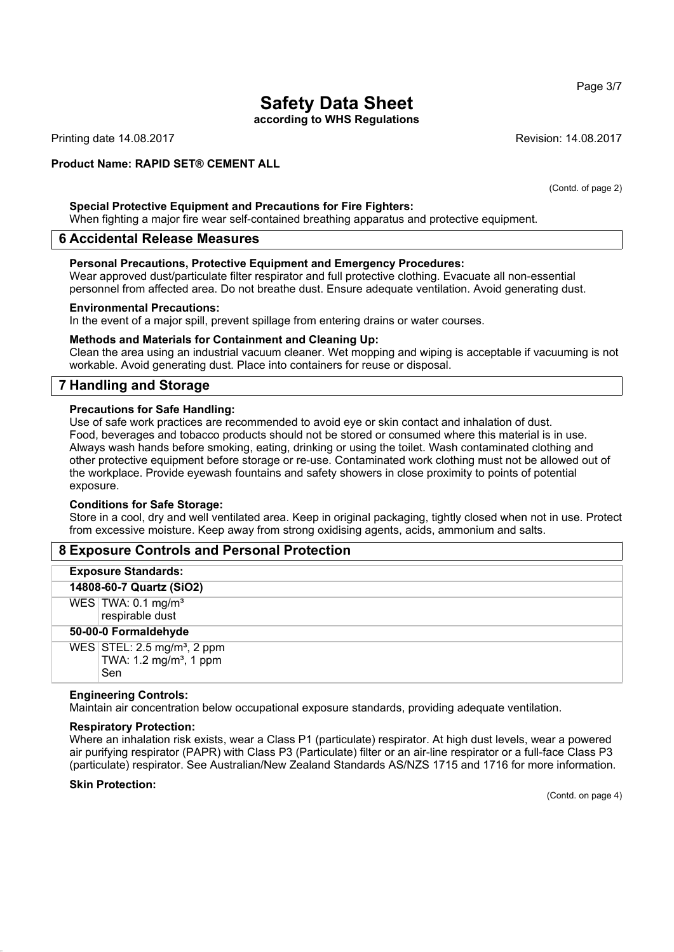**according to WHS Regulations**

Printing date 14.08.2017 **Printing date 14.08.2017** Revision: 14.08.2017

#### **Product Name: RAPID SET® CEMENT ALL**

**Special Protective Equipment and Precautions for Fire Fighters:**

When fighting a major fire wear self-contained breathing apparatus and protective equipment.

#### **6 Accidental Release Measures**

#### **Personal Precautions, Protective Equipment and Emergency Procedures:**

Wear approved dust/particulate filter respirator and full protective clothing. Evacuate all non-essential personnel from affected area. Do not breathe dust. Ensure adequate ventilation. Avoid generating dust.

#### **Environmental Precautions:**

In the event of a major spill, prevent spillage from entering drains or water courses.

#### **Methods and Materials for Containment and Cleaning Up:**

Clean the area using an industrial vacuum cleaner. Wet mopping and wiping is acceptable if vacuuming is not workable. Avoid generating dust. Place into containers for reuse or disposal.

#### **7 Handling and Storage**

#### **Precautions for Safe Handling:**

Use of safe work practices are recommended to avoid eye or skin contact and inhalation of dust. Food, beverages and tobacco products should not be stored or consumed where this material is in use. Always wash hands before smoking, eating, drinking or using the toilet. Wash contaminated clothing and other protective equipment before storage or re-use. Contaminated work clothing must not be allowed out of the workplace. Provide eyewash fountains and safety showers in close proximity to points of potential exposure.

#### **Conditions for Safe Storage:**

Store in a cool, dry and well ventilated area. Keep in original packaging, tightly closed when not in use. Protect from excessive moisture. Keep away from strong oxidising agents, acids, ammonium and salts.

#### **8 Exposure Controls and Personal Protection**

#### **Exposure Standards:**

**14808-60-7 Quartz (SiO2)** WES  $TWA: 0.1$  mg/m<sup>3</sup>

respirable dust

#### **50-00-0 Formaldehyde**

 $WES$  STEL: 2.5 mg/m<sup>3</sup>, 2 ppm TWA:  $1.2 \text{ mg/m}^3$ , 1 ppm Sen

#### **Engineering Controls:**

Maintain air concentration below occupational exposure standards, providing adequate ventilation.

#### **Respiratory Protection:**

Where an inhalation risk exists, wear a Class P1 (particulate) respirator. At high dust levels, wear a powered air purifying respirator (PAPR) with Class P3 (Particulate) filter or an air-line respirator or a full-face Class P3 (particulate) respirator. See Australian/New Zealand Standards AS/NZS 1715 and 1716 for more information.

#### **Skin Protection:**

(Contd. on page 4)

Page 3/7

(Contd. of page 2)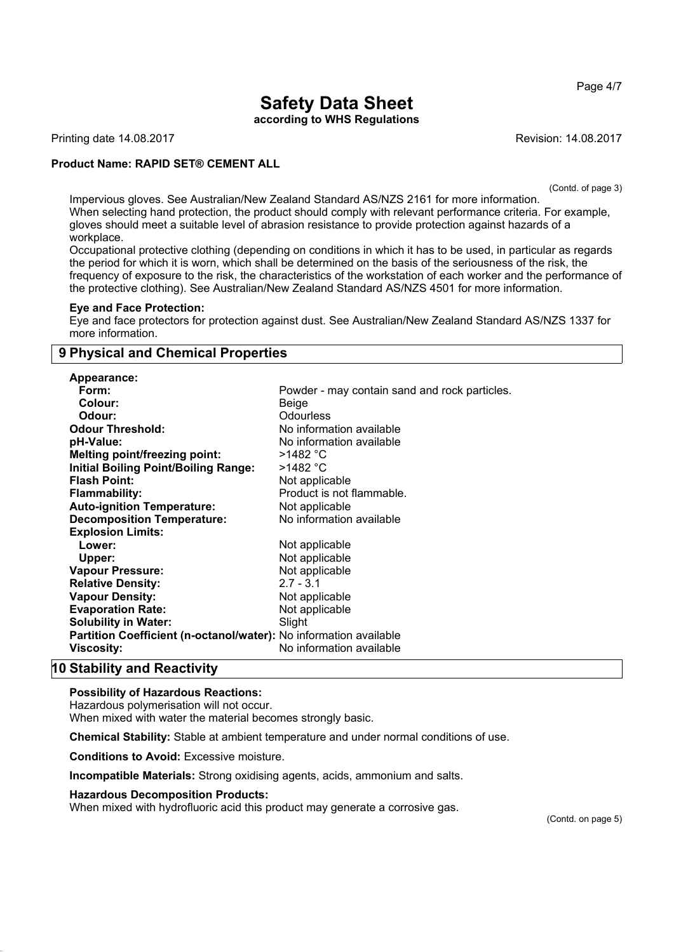Page 4/7

# **Safety Data Sheet**

**according to WHS Regulations**

Printing date 14.08.2017 **Revision: 14.08.2017** Revision: 14.08.2017

#### **Product Name: RAPID SET® CEMENT ALL**

(Contd. of page 3)

Impervious gloves. See Australian/New Zealand Standard AS/NZS 2161 for more information. When selecting hand protection, the product should comply with relevant performance criteria. For example, gloves should meet a suitable level of abrasion resistance to provide protection against hazards of a workplace.

Occupational protective clothing (depending on conditions in which it has to be used, in particular as regards the period for which it is worn, which shall be determined on the basis of the seriousness of the risk, the frequency of exposure to the risk, the characteristics of the workstation of each worker and the performance of the protective clothing). See Australian/New Zealand Standard AS/NZS 4501 for more information.

#### **Eye and Face Protection:**

Eye and face protectors for protection against dust. See Australian/New Zealand Standard AS/NZS 1337 for more information.

#### **9 Physical and Chemical Properties**

| <b>Appearance:</b>                                                |                                               |
|-------------------------------------------------------------------|-----------------------------------------------|
| Form:                                                             | Powder - may contain sand and rock particles. |
| Colour:                                                           | Beige                                         |
| Odour:                                                            | <b>Odourless</b>                              |
| <b>Odour Threshold:</b>                                           | No information available                      |
| pH-Value:                                                         | No information available                      |
| <b>Melting point/freezing point:</b>                              | >1482 °C                                      |
| <b>Initial Boiling Point/Boiling Range:</b>                       | >1482 °C                                      |
| <b>Flash Point:</b>                                               | Not applicable                                |
| <b>Flammability:</b>                                              | Product is not flammable.                     |
| <b>Auto-ignition Temperature:</b>                                 | Not applicable                                |
| <b>Decomposition Temperature:</b>                                 | No information available                      |
| <b>Explosion Limits:</b>                                          |                                               |
| Lower:                                                            | Not applicable                                |
| Upper:                                                            | Not applicable                                |
| <b>Vapour Pressure:</b>                                           | Not applicable                                |
| <b>Relative Density:</b>                                          | $2.7 - 3.1$                                   |
| <b>Vapour Density:</b>                                            | Not applicable                                |
| <b>Evaporation Rate:</b>                                          | Not applicable                                |
| <b>Solubility in Water:</b>                                       | Slight                                        |
| Partition Coefficient (n-octanol/water): No information available |                                               |
| <b>Viscosity:</b>                                                 | No information available                      |
|                                                                   |                                               |

### **10 Stability and Reactivity**

#### **Possibility of Hazardous Reactions:**

Hazardous polymerisation will not occur.

When mixed with water the material becomes strongly basic.

**Chemical Stability:** Stable at ambient temperature and under normal conditions of use.

**Conditions to Avoid:** Excessive moisture.

**Incompatible Materials:** Strong oxidising agents, acids, ammonium and salts.

#### **Hazardous Decomposition Products:**

When mixed with hydrofluoric acid this product may generate a corrosive gas.

(Contd. on page 5)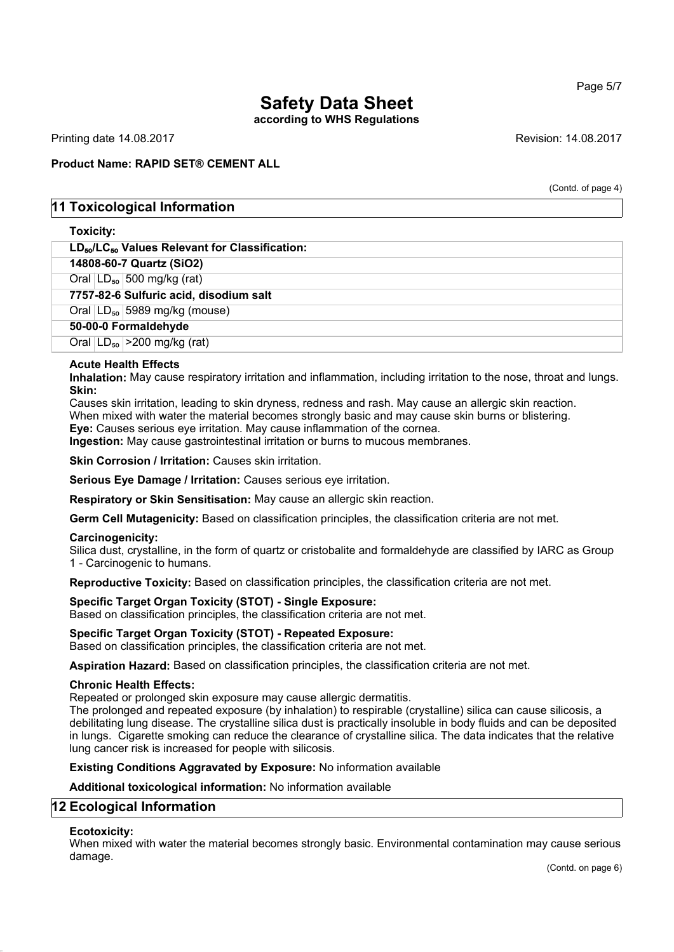**according to WHS Regulations**

Printing date 14.08.2017 **Printing date 14.08.2017** 

#### **Product Name: RAPID SET® CEMENT ALL**

(Contd. of page 4)

#### **11 Toxicological Information**

#### **Toxicity:**

| LD <sub>50</sub> /LC <sub>50</sub> Values Relevant for Classification: |
|------------------------------------------------------------------------|
| 14808-60-7 Quartz (SiO2)                                               |
| Oral $LD_{50}$ 500 mg/kg (rat)                                         |
| 7757-82-6 Sulfuric acid, disodium salt                                 |
| Oral $ LD_{50} $ 5989 mg/kg (mouse)                                    |
| 50-00-0 Formaldehyde                                                   |
| Oral $ LD_{50}  > 200$ mg/kg (rat)                                     |
|                                                                        |

#### **Acute Health Effects**

**Inhalation:** May cause respiratory irritation and inflammation, including irritation to the nose, throat and lungs. **Skin:**

Causes skin irritation, leading to skin dryness, redness and rash. May cause an allergic skin reaction. When mixed with water the material becomes strongly basic and may cause skin burns or blistering. **Eye:** Causes serious eye irritation. May cause inflammation of the cornea.

**Ingestion:** May cause gastrointestinal irritation or burns to mucous membranes.

**Skin Corrosion / Irritation:** Causes skin irritation.

**Serious Eye Damage / Irritation:** Causes serious eye irritation.

**Respiratory or Skin Sensitisation:** May cause an allergic skin reaction.

**Germ Cell Mutagenicity:** Based on classification principles, the classification criteria are not met.

#### **Carcinogenicity:**

Silica dust, crystalline, in the form of quartz or cristobalite and formaldehyde are classified by IARC as Group 1 - Carcinogenic to humans.

**Reproductive Toxicity:** Based on classification principles, the classification criteria are not met.

#### **Specific Target Organ Toxicity (STOT) - Single Exposure:**

Based on classification principles, the classification criteria are not met.

#### **Specific Target Organ Toxicity (STOT) - Repeated Exposure:**

Based on classification principles, the classification criteria are not met.

**Aspiration Hazard:** Based on classification principles, the classification criteria are not met.

#### **Chronic Health Effects:**

Repeated or prolonged skin exposure may cause allergic dermatitis.

The prolonged and repeated exposure (by inhalation) to respirable (crystalline) silica can cause silicosis, a debilitating lung disease. The crystalline silica dust is practically insoluble in body fluids and can be deposited in lungs. Cigarette smoking can reduce the clearance of crystalline silica. The data indicates that the relative lung cancer risk is increased for people with silicosis.

**Existing Conditions Aggravated by Exposure:** No information available

**Additional toxicological information:** No information available

#### **12 Ecological Information**

#### **Ecotoxicity:**

When mixed with water the material becomes strongly basic. Environmental contamination may cause serious damage.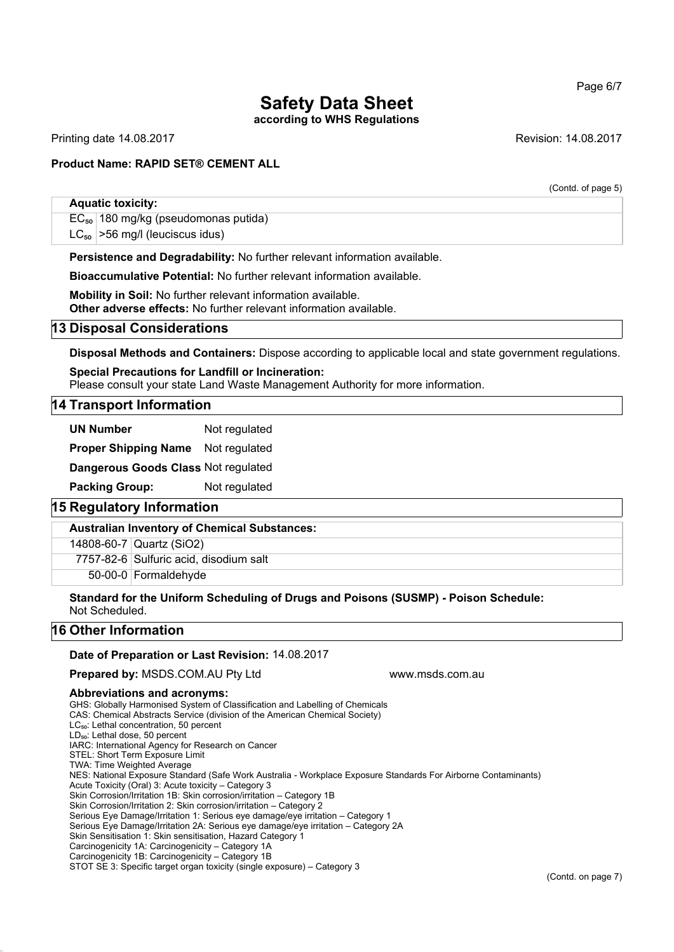#### Page 6/7

# **Safety Data Sheet**

**according to WHS Regulations**

Printing date 14.08.2017 **Printing date 14.08.2017** Revision: 14.08.2017

(Contd. of page 5)

#### **Product Name: RAPID SET® CEMENT ALL**

#### **Aquatic toxicity:**

 $EC_{50}$  180 mg/kg (pseudomonas putida)  $LC_{50}$  > 56 mg/l (leuciscus idus)

**Persistence and Degradability:** No further relevant information available.

**Bioaccumulative Potential:** No further relevant information available.

**Mobility in Soil:** No further relevant information available. **Other adverse effects:** No further relevant information available.

#### **13 Disposal Considerations**

**Disposal Methods and Containers:** Dispose according to applicable local and state government regulations.

**Special Precautions for Landfill or Incineration:** Please consult your state Land Waste Management Authority for more information.

#### **14 Transport Information**

**UN Number** Not regulated

**Proper Shipping Name** Not regulated

**Dangerous Goods Class** Not regulated

**Packing Group:** Not regulated

#### **15 Regulatory Information**

**Australian Inventory of Chemical Substances:**

14808-60-7 Quartz (SiO2)

7757-82-6 Sulfuric acid, disodium salt

50-00-0 Formaldehyde

**Standard for the Uniform Scheduling of Drugs and Poisons (SUSMP) - Poison Schedule:** Not Scheduled.

#### **16 Other Information**

#### **Date of Preparation or Last Revision:** 14.08.2017

**Prepared by: MSDS.COM.AU Pty Ltd www.msds.com.au** 

#### **Abbreviations and acronyms:**

GHS: Globally Harmonised System of Classification and Labelling of Chemicals CAS: Chemical Abstracts Service (division of the American Chemical Society) LC<sub>50</sub>: Lethal concentration, 50 percent LD<sub>50</sub>: Lethal dose, 50 percent IARC: International Agency for Research on Cancer STEL: Short Term Exposure Limit TWA: Time Weighted Average NES: National Exposure Standard (Safe Work Australia - Workplace Exposure Standards For Airborne Contaminants) Acute Toxicity (Oral) 3: Acute toxicity – Category 3 Skin Corrosion/Irritation 1B: Skin corrosion/irritation – Category 1B Skin Corrosion/Irritation 2: Skin corrosion/irritation – Category 2 Serious Eye Damage/Irritation 1: Serious eye damage/eye irritation – Category 1 Serious Eye Damage/Irritation 2A: Serious eye damage/eye irritation - Category 2A Skin Sensitisation 1: Skin sensitisation, Hazard Category 1 Carcinogenicity 1A: Carcinogenicity – Category 1A Carcinogenicity 1B: Carcinogenicity – Category 1B STOT SE 3: Specific target organ toxicity (single exposure) – Category 3